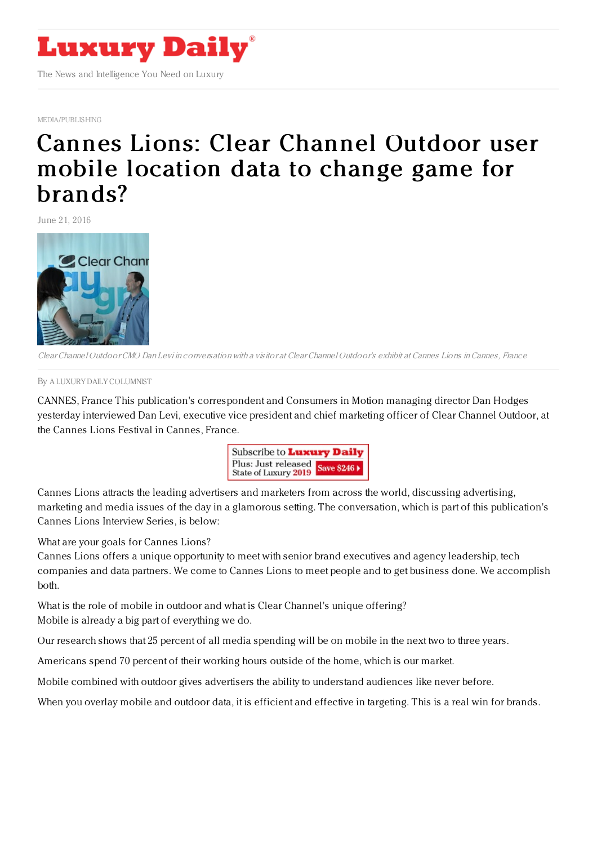

[MEDIA/PUBLISHING](https://www.luxurydaily.com/category/sectors/mediapublishing/)

## Cannes Lions: Clear [Channel](https://www.luxurydaily.com/cannes-lions-clear-channel-outdoor-user-mobile-location-data-to-change-game-for-brands/) Outdoor user mobile location data to change game for brands?

June 21, 2016



Clear Channel Outdoor CMO Dan Levi in conversation with <sup>a</sup> visitor at Clear Channel Outdoor's exhibit at Cannes Lions inCannes, France

## By A LUXURY DAILY [COLUMNIST](file:///author/a-luxury-daily-columnist)

CANNES, France This publication's correspondent and Consumers in Motion managing director Dan Hodges yesterday interviewed Dan Levi, executive vice president and chief marketing officer of Clear Channel Outdoor, at the Cannes Lions Festival in Cannes, France.



Cannes Lions attracts the leading advertisers and marketers from across the world, discussing advertising, marketing and media issues of the day in a glamorous setting. The conversation, which is part of this publication's Cannes Lions Interview Series, is below:

What are your goals for Cannes Lions?

Cannes Lions offers a unique opportunity to meet with senior brand executives and agency leadership, tech companies and data partners. We come to Cannes Lions to meet people and to get business done. We accomplish both.

What is the role of mobile in outdoor and what is Clear Channel's unique offering? Mobile is already a big part of everything we do.

Our research shows that 25 percent of all media spending will be on mobile in the next two to three years.

Americans spend 70 percent of their working hours outside of the home, which is our market.

Mobile combined with outdoor gives advertisers the ability to understand audiences like never before.

When you overlay mobile and outdoor data, it is efficient and effective in targeting. This is a real win for brands.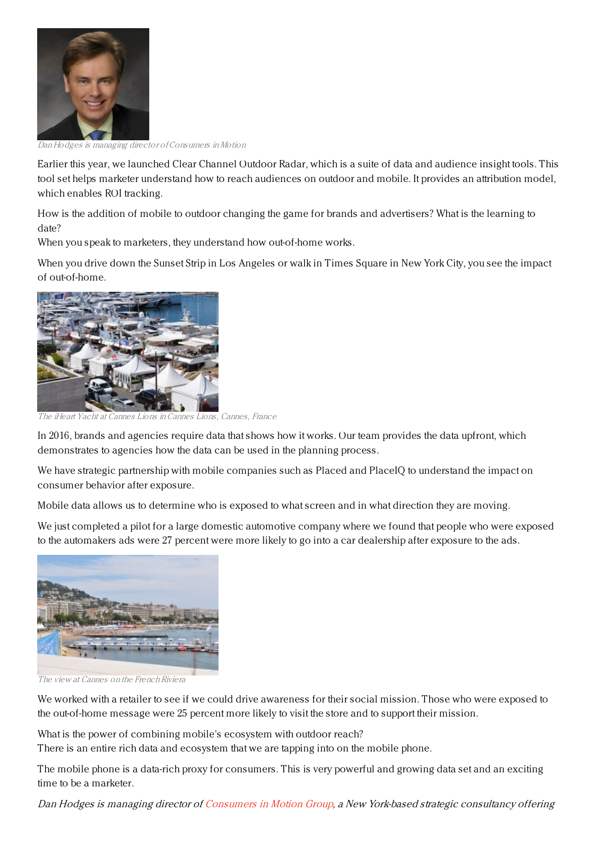

Dan Hodges is managing director ofConsumers inMotion

Earlier this year, we launched Clear Channel Outdoor Radar, which is a suite of data and audience insight tools. This tool set helps marketer understand how to reach audiences on outdoor and mobile. It provides an attribution model, which enables ROI tracking.

How is the addition of mobile to outdoor changing the game for brands and advertisers? What is the learning to date?

When you speak to marketers, they understand how out-of-home works.

When you drive down the Sunset Strip in Los Angeles or walk in Times Square in New York City, you see the impact of out-of-home.



The iHeart Yacht at Cannes Lions inCannes Lions, Cannes, France

In 2016, brands and agencies require data that shows how it works. Our team provides the data upfront, which demonstrates to agencies how the data can be used in the planning process.

We have strategic partnership with mobile companies such as Placed and PlaceIQ to understand the impact on consumer behavior after exposure.

Mobile data allows us to determine who is exposed to what screen and in what direction they are moving.

We just completed a pilot for a large domestic automotive company where we found that people who were exposed to the automakers ads were 27 percent were more likely to go into a car dealership after exposure to the ads.



The view at Cannes on the French Riviera

We worked with a retailer to see if we could drive awareness for their social mission. Those who were exposed to the out-of-home message were 25 percent more likely to visit the store and to support their mission.

What is the power of combining mobile's ecosystem with outdoor reach?

There is an entire rich data and ecosystem that we are tapping into on the mobile phone.

The mobile phone is a data-rich proxy for consumers. This is very powerful and growing data set and an exciting time to be a marketer.

Dan Hodges is managing director of [Consumers](http://www.consumersinmotion.com) in Motion Group, <sup>a</sup> New York-based strategic consultancy offering